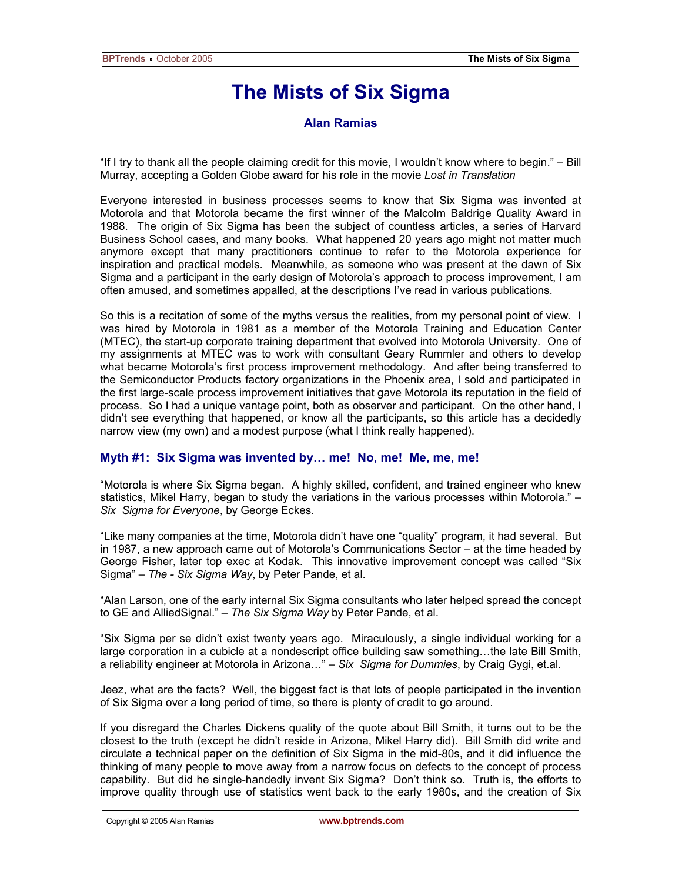# **The Mists of Six Sigma**

# **Alan Ramias**

"If I try to thank all the people claiming credit for this movie, I wouldn't know where to begin." – Bill Murray, accepting a Golden Globe award for his role in the movie *Lost in Translation*

Everyone interested in business processes seems to know that Six Sigma was invented at Motorola and that Motorola became the first winner of the Malcolm Baldrige Quality Award in 1988. The origin of Six Sigma has been the subject of countless articles, a series of Harvard Business School cases, and many books. What happened 20 years ago might not matter much anymore except that many practitioners continue to refer to the Motorola experience for inspiration and practical models. Meanwhile, as someone who was present at the dawn of Six Sigma and a participant in the early design of Motorola's approach to process improvement, I am often amused, and sometimes appalled, at the descriptions I've read in various publications.

So this is a recitation of some of the myths versus the realities, from my personal point of view. I was hired by Motorola in 1981 as a member of the Motorola Training and Education Center (MTEC), the start-up corporate training department that evolved into Motorola University. One of my assignments at MTEC was to work with consultant Geary Rummler and others to develop what became Motorola's first process improvement methodology. And after being transferred to the Semiconductor Products factory organizations in the Phoenix area, I sold and participated in the first large-scale process improvement initiatives that gave Motorola its reputation in the field of process. So I had a unique vantage point, both as observer and participant. On the other hand, I didn't see everything that happened, or know all the participants, so this article has a decidedly narrow view (my own) and a modest purpose (what I think really happened).

## **Myth #1: Six Sigma was invented by… me! No, me! Me, me, me!**

"Motorola is where Six Sigma began. A highly skilled, confident, and trained engineer who knew statistics, Mikel Harry, began to study the variations in the various processes within Motorola." – *Six Sigma for Everyone*, by George Eckes.

"Like many companies at the time, Motorola didn't have one "quality" program, it had several. But in 1987, a new approach came out of Motorola's Communications Sector – at the time headed by George Fisher, later top exec at Kodak. This innovative improvement concept was called "Six Sigma" – *The - Six Sigma Way*, by Peter Pande, et al.

"Alan Larson, one of the early internal Six Sigma consultants who later helped spread the concept to GE and AlliedSignal." – *The Six Sigma Way* by Peter Pande, et al.

"Six Sigma per se didn't exist twenty years ago. Miraculously, a single individual working for a large corporation in a cubicle at a nondescript office building saw something…the late Bill Smith, a reliability engineer at Motorola in Arizona…" – *Six Sigma for Dummies*, by Craig Gygi, et.al.

Jeez, what are the facts? Well, the biggest fact is that lots of people participated in the invention of Six Sigma over a long period of time, so there is plenty of credit to go around.

If you disregard the Charles Dickens quality of the quote about Bill Smith, it turns out to be the closest to the truth (except he didn't reside in Arizona, Mikel Harry did). Bill Smith did write and circulate a technical paper on the definition of Six Sigma in the mid-80s, and it did influence the thinking of many people to move away from a narrow focus on defects to the concept of process capability. But did he single-handedly invent Six Sigma? Don't think so. Truth is, the efforts to improve quality through use of statistics went back to the early 1980s, and the creation of Six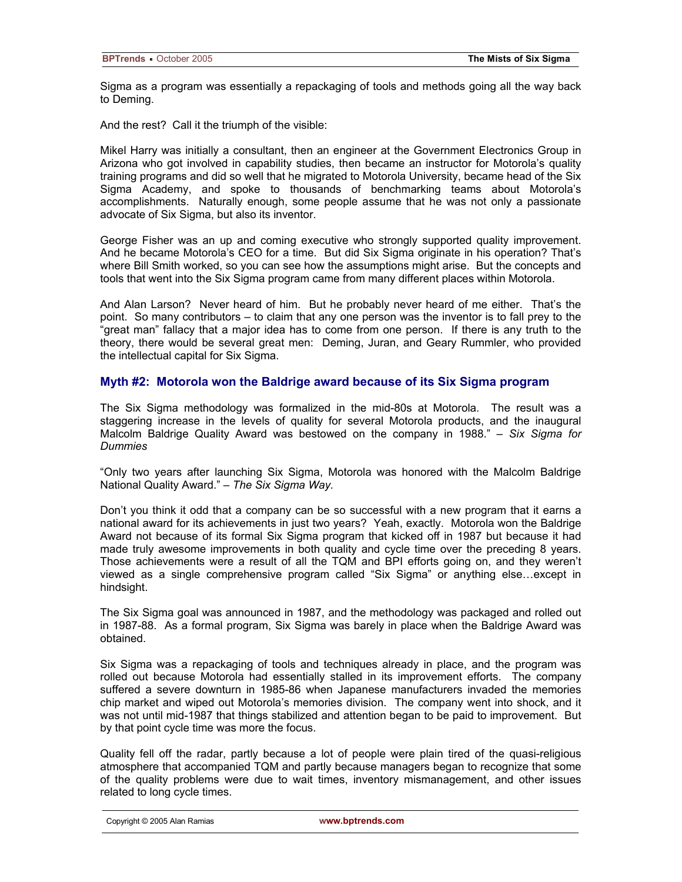Sigma as a program was essentially a repackaging of tools and methods going all the way back to Deming.

And the rest? Call it the triumph of the visible:

Mikel Harry was initially a consultant, then an engineer at the Government Electronics Group in Arizona who got involved in capability studies, then became an instructor for Motorola's quality training programs and did so well that he migrated to Motorola University, became head of the Six Sigma Academy, and spoke to thousands of benchmarking teams about Motorola's accomplishments. Naturally enough, some people assume that he was not only a passionate advocate of Six Sigma, but also its inventor.

George Fisher was an up and coming executive who strongly supported quality improvement. And he became Motorola's CEO for a time. But did Six Sigma originate in his operation? That's where Bill Smith worked, so you can see how the assumptions might arise. But the concepts and tools that went into the Six Sigma program came from many different places within Motorola.

And Alan Larson? Never heard of him. But he probably never heard of me either. That's the point. So many contributors – to claim that any one person was the inventor is to fall prey to the "great man" fallacy that a major idea has to come from one person. If there is any truth to the theory, there would be several great men: Deming, Juran, and Geary Rummler, who provided the intellectual capital for Six Sigma.

### **Myth #2: Motorola won the Baldrige award because of its Six Sigma program**

The Six Sigma methodology was formalized in the mid-80s at Motorola. The result was a staggering increase in the levels of quality for several Motorola products, and the inaugural Malcolm Baldrige Quality Award was bestowed on the company in 1988." – *Six Sigma for Dummies*

"Only two years after launching Six Sigma, Motorola was honored with the Malcolm Baldrige National Quality Award." – *The Six Sigma Way.*

Don't you think it odd that a company can be so successful with a new program that it earns a national award for its achievements in just two years? Yeah, exactly. Motorola won the Baldrige Award not because of its formal Six Sigma program that kicked off in 1987 but because it had made truly awesome improvements in both quality and cycle time over the preceding 8 years. Those achievements were a result of all the TQM and BPI efforts going on, and they weren't viewed as a single comprehensive program called "Six Sigma" or anything else…except in hindsight.

The Six Sigma goal was announced in 1987, and the methodology was packaged and rolled out in 1987-88. As a formal program, Six Sigma was barely in place when the Baldrige Award was obtained.

Six Sigma was a repackaging of tools and techniques already in place, and the program was rolled out because Motorola had essentially stalled in its improvement efforts. The company suffered a severe downturn in 1985-86 when Japanese manufacturers invaded the memories chip market and wiped out Motorola's memories division. The company went into shock, and it was not until mid-1987 that things stabilized and attention began to be paid to improvement. But by that point cycle time was more the focus.

Quality fell off the radar, partly because a lot of people were plain tired of the quasi-religious atmosphere that accompanied TQM and partly because managers began to recognize that some of the quality problems were due to wait times, inventory mismanagement, and other issues related to long cycle times.

Copyright © 2005 Alan Ramias **www.bptrends.com**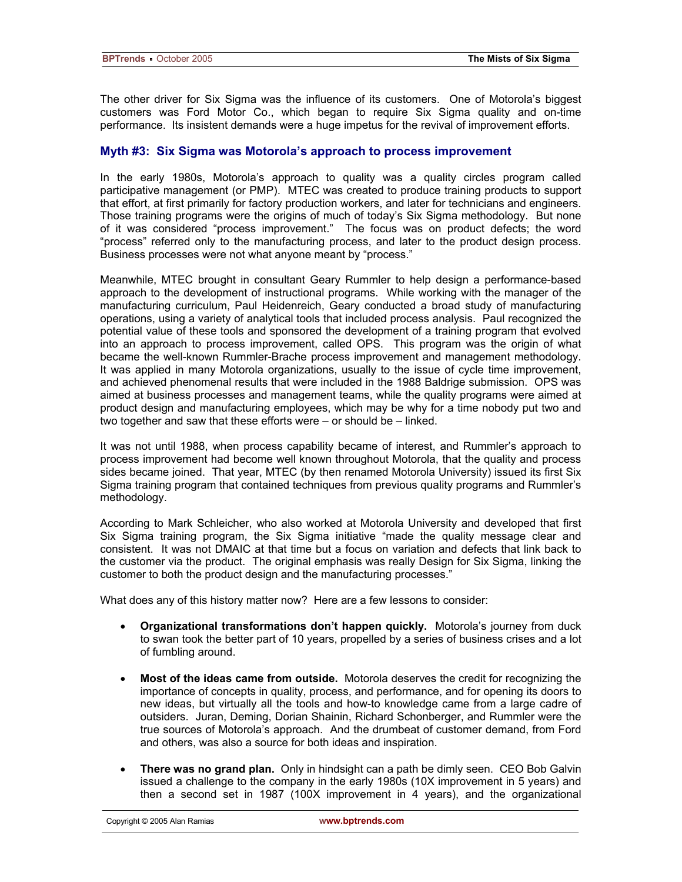The other driver for Six Sigma was the influence of its customers. One of Motorola's biggest customers was Ford Motor Co., which began to require Six Sigma quality and on-time performance. Its insistent demands were a huge impetus for the revival of improvement efforts.

### **Myth #3: Six Sigma was Motorola's approach to process improvement**

In the early 1980s, Motorola's approach to quality was a quality circles program called participative management (or PMP). MTEC was created to produce training products to support that effort, at first primarily for factory production workers, and later for technicians and engineers. Those training programs were the origins of much of today's Six Sigma methodology. But none of it was considered "process improvement." The focus was on product defects; the word "process" referred only to the manufacturing process, and later to the product design process. Business processes were not what anyone meant by "process."

Meanwhile, MTEC brought in consultant Geary Rummler to help design a performance-based approach to the development of instructional programs. While working with the manager of the manufacturing curriculum, Paul Heidenreich, Geary conducted a broad study of manufacturing operations, using a variety of analytical tools that included process analysis. Paul recognized the potential value of these tools and sponsored the development of a training program that evolved into an approach to process improvement, called OPS. This program was the origin of what became the well-known Rummler-Brache process improvement and management methodology. It was applied in many Motorola organizations, usually to the issue of cycle time improvement, and achieved phenomenal results that were included in the 1988 Baldrige submission. OPS was aimed at business processes and management teams, while the quality programs were aimed at product design and manufacturing employees, which may be why for a time nobody put two and two together and saw that these efforts were – or should be – linked.

It was not until 1988, when process capability became of interest, and Rummler's approach to process improvement had become well known throughout Motorola, that the quality and process sides became joined. That year, MTEC (by then renamed Motorola University) issued its first Six Sigma training program that contained techniques from previous quality programs and Rummler's methodology.

According to Mark Schleicher, who also worked at Motorola University and developed that first Six Sigma training program, the Six Sigma initiative "made the quality message clear and consistent. It was not DMAIC at that time but a focus on variation and defects that link back to the customer via the product. The original emphasis was really Design for Six Sigma, linking the customer to both the product design and the manufacturing processes."

What does any of this history matter now? Here are a few lessons to consider:

- **Organizational transformations don't happen quickly.** Motorola's journey from duck to swan took the better part of 10 years, propelled by a series of business crises and a lot of fumbling around.
- **Most of the ideas came from outside.** Motorola deserves the credit for recognizing the importance of concepts in quality, process, and performance, and for opening its doors to new ideas, but virtually all the tools and how-to knowledge came from a large cadre of outsiders. Juran, Deming, Dorian Shainin, Richard Schonberger, and Rummler were the true sources of Motorola's approach. And the drumbeat of customer demand, from Ford and others, was also a source for both ideas and inspiration.
- **There was no grand plan.** Only in hindsight can a path be dimly seen. CEO Bob Galvin issued a challenge to the company in the early 1980s (10X improvement in 5 years) and then a second set in 1987 (100X improvement in 4 years), and the organizational